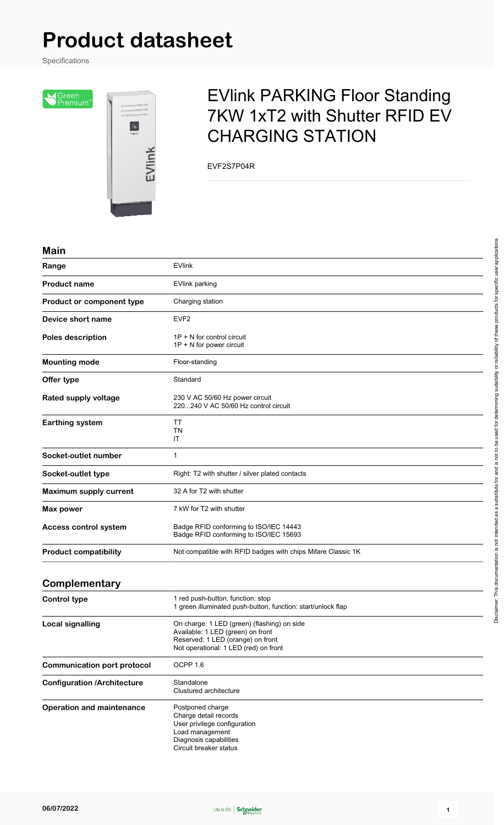# **Product datasheet**

Specifications

Screen<br>Premium<sup>"</sup>



## EVlink PARKING Floor Standing 7KW 1xT2 with Shutter RFID EV CHARGING STATION

EVF2S7P04R

#### **Main**

| Range                              | <b>EVlink</b>                                                                                                                                                  |
|------------------------------------|----------------------------------------------------------------------------------------------------------------------------------------------------------------|
| <b>Product name</b>                | <b>EVlink parking</b>                                                                                                                                          |
| Product or component type          | Charging station                                                                                                                                               |
| Device short name                  | EVF <sub>2</sub>                                                                                                                                               |
| <b>Poles description</b>           | $1P + N$ for control circuit<br>1P + N for power circuit                                                                                                       |
| <b>Mounting mode</b>               | Floor-standing                                                                                                                                                 |
| Offer type                         | Standard                                                                                                                                                       |
| Rated supply voltage               | 230 V AC 50/60 Hz power circuit<br>220240 V AC 50/60 Hz control circuit                                                                                        |
| <b>Earthing system</b>             | ТT<br>ΤN<br>ΙT                                                                                                                                                 |
| Socket-outlet number               | 1                                                                                                                                                              |
| Socket-outlet type                 | Right: T2 with shutter / silver plated contacts                                                                                                                |
| Maximum supply current             | 32 A for T2 with shutter                                                                                                                                       |
| <b>Max power</b>                   | 7 kW for T2 with shutter                                                                                                                                       |
| <b>Access control system</b>       | Badge RFID conforming to ISO/IEC 14443<br>Badge RFID conforming to ISO/IEC 15693                                                                               |
| <b>Product compatibility</b>       | Not compatible with RFID badges with chips Mifare Classic 1K                                                                                                   |
| Complementary                      |                                                                                                                                                                |
| <b>Control type</b>                | 1 red push-button, function: stop<br>1 green illuminated push-button, function: start/unlock flap                                                              |
| <b>Local signalling</b>            | On charge: 1 LED (green) (flashing) on side<br>Available: 1 LED (green) on front<br>Reserved: 1 LED (orange) on front<br>Not operational: 1 LED (red) on front |
| <b>Communication port protocol</b> | OCPP 1.6                                                                                                                                                       |
| <b>Configuration /Architecture</b> | Standalone<br>Clustured architecture                                                                                                                           |
| <b>Operation and maintenance</b>   | Postponed charge<br>Charge detail records<br>User privilege configuration<br>Load management<br>Diagnosis capabilities<br>Circuit breaker status               |



Disclaimer: This documentation is not intended as a substitute for and is not to be used for determining suitability or reliability of these products for specific user applications

Disclaimer: This documentation is not intended as a substitute for and is not to be used for determining suitability or teliability of these products for specific user applications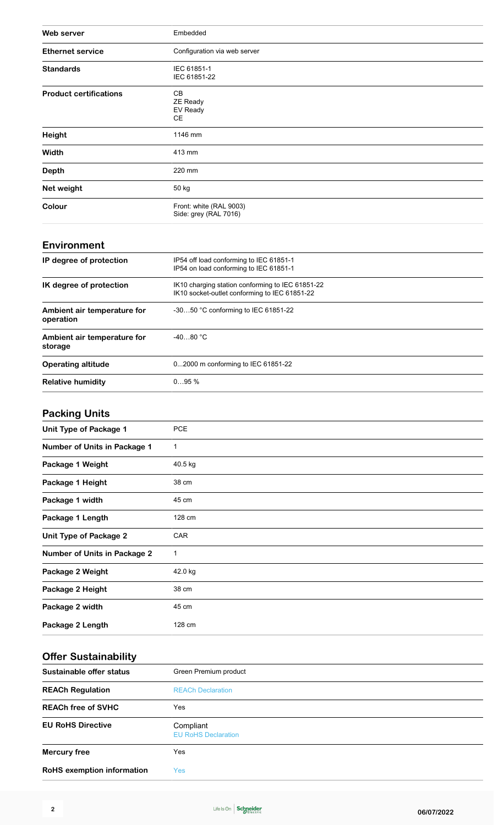| Web server                    | Embedded                                         |
|-------------------------------|--------------------------------------------------|
| <b>Ethernet service</b>       | Configuration via web server                     |
| <b>Standards</b>              | IEC 61851-1<br>IEC 61851-22                      |
| <b>Product certifications</b> | CВ<br><b>ZE Ready</b><br>EV Ready<br><b>CE</b>   |
| Height                        | 1146 mm                                          |
| Width                         | 413 mm                                           |
| <b>Depth</b>                  | 220 mm                                           |
| Net weight                    | 50 kg                                            |
| Colour                        | Front: white (RAL 9003)<br>Side: grey (RAL 7016) |

#### **Environment**

| IP degree of protection                  | IP54 off load conforming to IEC 61851-1<br>IP54 on load conforming to IEC 61851-1                 |  |
|------------------------------------------|---------------------------------------------------------------------------------------------------|--|
| IK degree of protection                  | IK10 charging station conforming to IEC 61851-22<br>IK10 socket-outlet conforming to IEC 61851-22 |  |
| Ambient air temperature for<br>operation | -3050 °C conforming to IEC 61851-22                                                               |  |
| Ambient air temperature for<br>storage   | $-4080 °C$                                                                                        |  |
| <b>Operating altitude</b>                | 02000 m conforming to IEC 61851-22                                                                |  |
| <b>Relative humidity</b>                 | 095%                                                                                              |  |

### **Packing Units**

| Unit Type of Package 1              | <b>PCE</b> |
|-------------------------------------|------------|
|                                     |            |
| Number of Units in Package 1        | 1          |
| Package 1 Weight                    | 40.5 kg    |
| Package 1 Height                    | 38 cm      |
| Package 1 width                     | 45 cm      |
| Package 1 Length                    | 128 cm     |
| Unit Type of Package 2              | <b>CAR</b> |
| <b>Number of Units in Package 2</b> | 1          |
| Package 2 Weight                    | 42.0 kg    |
| Package 2 Height                    | 38 cm      |
| Package 2 width                     | 45 cm      |
| Package 2 Length                    | 128 cm     |

#### **Offer Sustainability**

| -                                 |                                         |
|-----------------------------------|-----------------------------------------|
| Sustainable offer status          | Green Premium product                   |
| <b>REACh Regulation</b>           | <b>REACh Declaration</b>                |
| <b>REACh free of SVHC</b>         | Yes                                     |
| <b>EU RoHS Directive</b>          | Compliant<br><b>EU RoHS Declaration</b> |
| <b>Mercury free</b>               | Yes                                     |
| <b>RoHS</b> exemption information | Yes                                     |